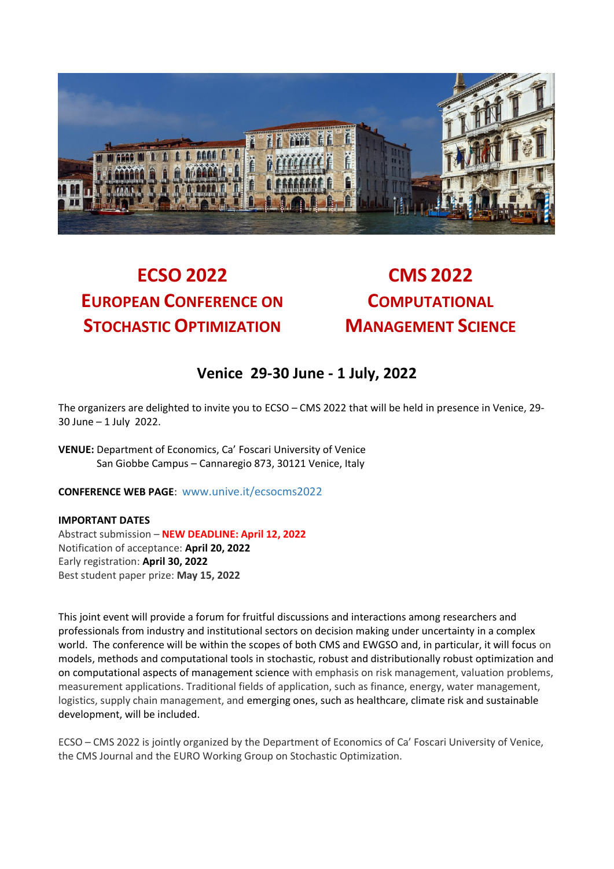

# **ECSO 2022 CMS 2022 EUROPEAN CONFERENCE ON STOCHASTIC OPTIMIZATION**

**COMPUTATIONAL MANAGEMENT SCIENCE**

## **Venice 29-30 June - 1 July, 2022**

The organizers are delighted to invite you to ECSO – CMS 2022 that will be held in presence in Venice, 29- 30 June – 1 July 2022.

**VENUE:** Department of Economics, Ca' Foscari University of Venice San Giobbe Campus – Cannaregio 873, 30121 Venice, Italy

**CONFERENCE WEB PAGE**: [www.unive.it/ecsocms2022](http://www.unive.it/ecsocms2022)

#### **IMPORTANT DATES**

Abstract submission – **NEW DEADLINE: April 12, 2022** Notification of acceptance: **April 20, 2022** Early registration: **April 30, 2022** Best student paper prize: **May 15, 2022**

This joint event will provide a forum for fruitful discussions and interactions among researchers and professionals from industry and institutional sectors on decision making under uncertainty in a complex world. The conference will be within the scopes of both CMS and EWGSO and, in particular, it will focus on models, methods and computational tools in stochastic, robust and distributionally robust optimization and on computational aspects of management science with emphasis on risk management, valuation problems, measurement applications. Traditional fields of application, such as finance, energy, water management, logistics, supply chain management, and emerging ones, such as healthcare, climate risk and sustainable development, will be included.

ECSO – CMS 2022 is jointly organized by the Department of Economics of Ca' Foscari University of Venice, the CMS Journal and the EURO Working Group on Stochastic Optimization.